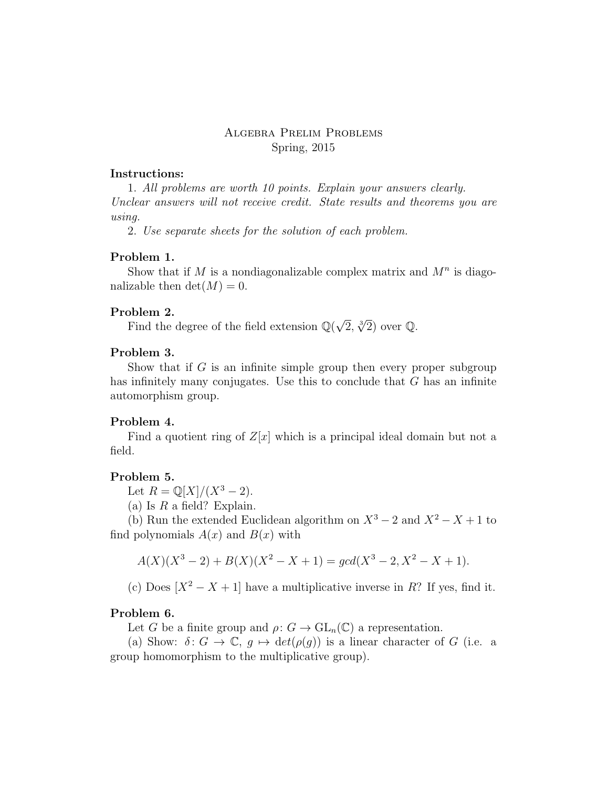# Algebra Prelim Problems Spring, 2015

#### Instructions:

1. All problems are worth 10 points. Explain your answers clearly. Unclear answers will not receive credit. State results and theorems you are using.

2. Use separate sheets for the solution of each problem.

## Problem 1.

Show that if M is a nondiagonalizable complex matrix and  $M<sup>n</sup>$  is diagonalizable then  $\det(M) = 0$ .

#### Problem 2.

**Find the degree of the field extension**  $\mathbb{Q}(\sqrt{\alpha})$  $\overline{2}, \sqrt[3]{2}$  over Q.

## Problem 3.

Show that if  $G$  is an infinite simple group then every proper subgroup has infinitely many conjugates. Use this to conclude that  $G$  has an infinite automorphism group.

#### Problem 4.

Find a quotient ring of  $Z[x]$  which is a principal ideal domain but not a field.

## Problem 5.

Let  $R = \mathbb{Q}[X]/(X^3 - 2)$ .

(a) Is  $R$  a field? Explain.

(b) Run the extended Euclidean algorithm on  $X^3 - 2$  and  $X^2 - X + 1$  to find polynomials  $A(x)$  and  $B(x)$  with

$$
A(X)(X3 – 2) + B(X)(X2 – X + 1) = gcd(X3 – 2, X2 – X + 1).
$$

(c) Does  $[X^2 - X + 1]$  have a multiplicative inverse in R? If yes, find it.

# Problem 6.

Let G be a finite group and  $\rho: G \to \text{GL}_n(\mathbb{C})$  a representation.

(a) Show:  $\delta: G \to \mathbb{C}, g \mapsto \det(\rho(g))$  is a linear character of G (i.e. a group homomorphism to the multiplicative group).